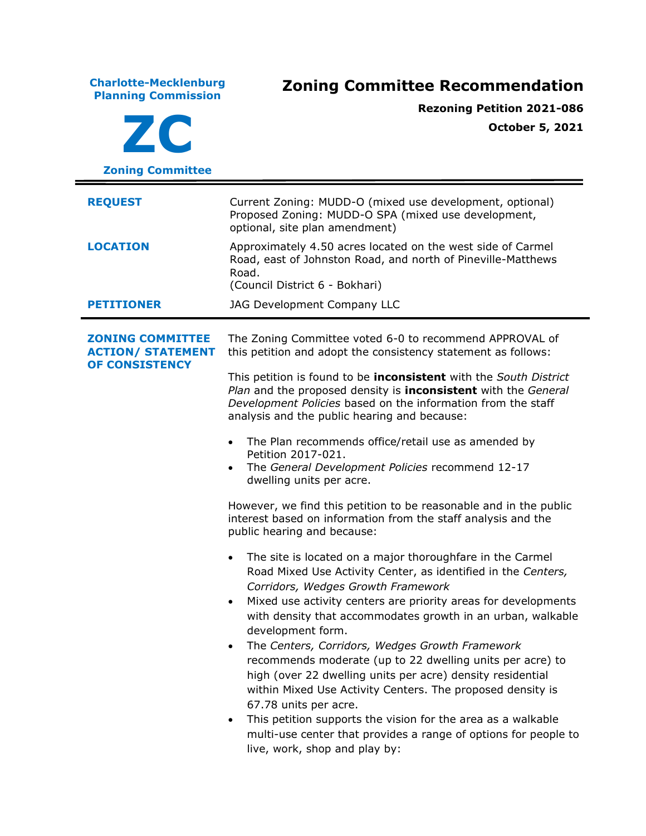**Charlotte-Mecklenburg Planning Commission Zoning Committee Recommendation ZC Zoning Committee Rezoning Petition 2021-086 October 5, 2021 REQUEST** Current Zoning: MUDD-O (mixed use development, optional) Proposed Zoning: MUDD-O SPA (mixed use development, optional, site plan amendment) **LOCATION** Approximately 4.50 acres located on the west side of Carmel Road, east of Johnston Road, and north of Pineville-Matthews Road. (Council District 6 - Bokhari) **PETITIONER** JAG Development Company LLC **ZONING COMMITTEE ACTION/ STATEMENT OF CONSISTENCY** The Zoning Committee voted 6-0 to recommend APPROVAL of this petition and adopt the consistency statement as follows: This petition is found to be **inconsistent** with the *South District Plan* and the proposed density is **inconsistent** with the *General Development Policies* based on the information from the staff analysis and the public hearing and because: • The Plan recommends office/retail use as amended by Petition 2017-021. • The *General Development Policies* recommend 12-17 dwelling units per acre. However, we find this petition to be reasonable and in the public interest based on information from the staff analysis and the public hearing and because: • The site is located on a major thoroughfare in the Carmel Road Mixed Use Activity Center, as identified in the *Centers, Corridors, Wedges Growth Framework* • Mixed use activity centers are priority areas for developments with density that accommodates growth in an urban, walkable development form. • The *Centers, Corridors, Wedges Growth Framework* recommends moderate (up to 22 dwelling units per acre) to high (over 22 dwelling units per acre) density residential within Mixed Use Activity Centers. The proposed density is 67.78 units per acre. • This petition supports the vision for the area as a walkable multi-use center that provides a range of options for people to live, work, shop and play by: